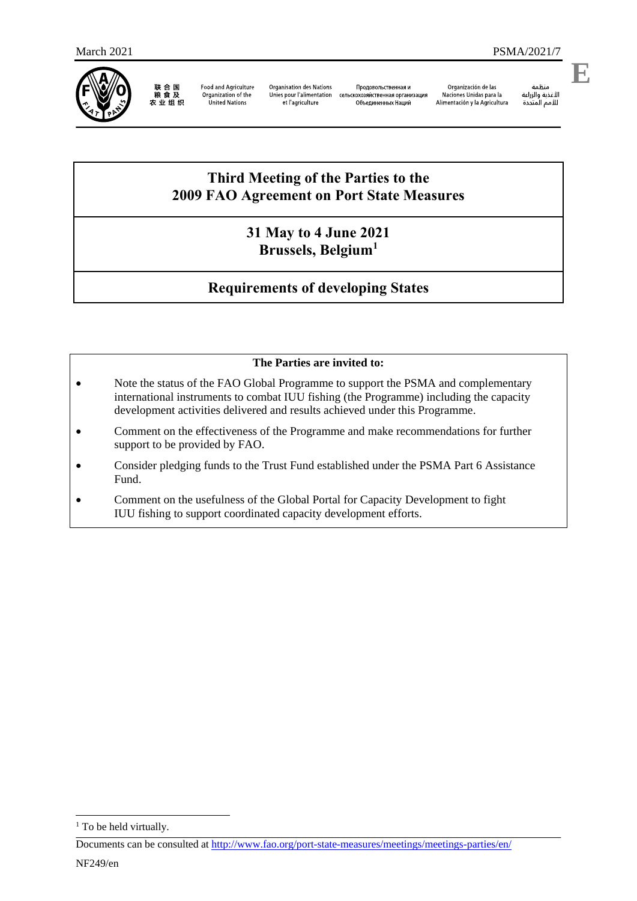

联合国<br>粮食及<br>农业组织

**Food and Agriculture** Organization of the<br>United Nations

Organisation des Nations Продовольственная и Unies pour l'alimentation сель .<br>скохозяйственная организация et l'agriculture Объединенных Наций

Organización de las Naciones Unidas para la Alimentación y la Agricultura

منظمة منطمة<br>الأغذية والزراعة<br>للأمم المتحدة

**E**

# **Third Meeting of the Parties to the 2009 FAO Agreement on Port State Measures**

## **31 May to 4 June 2021 Brussels, Belgium<sup>1</sup>**

# **Requirements of developing States**

### **The Parties are invited to:**

- Note the status of the FAO Global Programme to support the PSMA and complementary international instruments to combat IUU fishing (the Programme) including the capacity development activities delivered and results achieved under this Programme.
- Comment on the effectiveness of the Programme and make recommendations for further support to be provided by FAO.
- Consider pledging funds to the Trust Fund established under the PSMA Part 6 Assistance Fund.
- Comment on the usefulness of the Global Portal for Capacity Development to fight IUU fishing to support coordinated capacity development efforts.

1

<sup>&</sup>lt;sup>1</sup> To be held virtually.

Documents can be consulted at<http://www.fao.org/port-state-measures/meetings/meetings-parties/en/>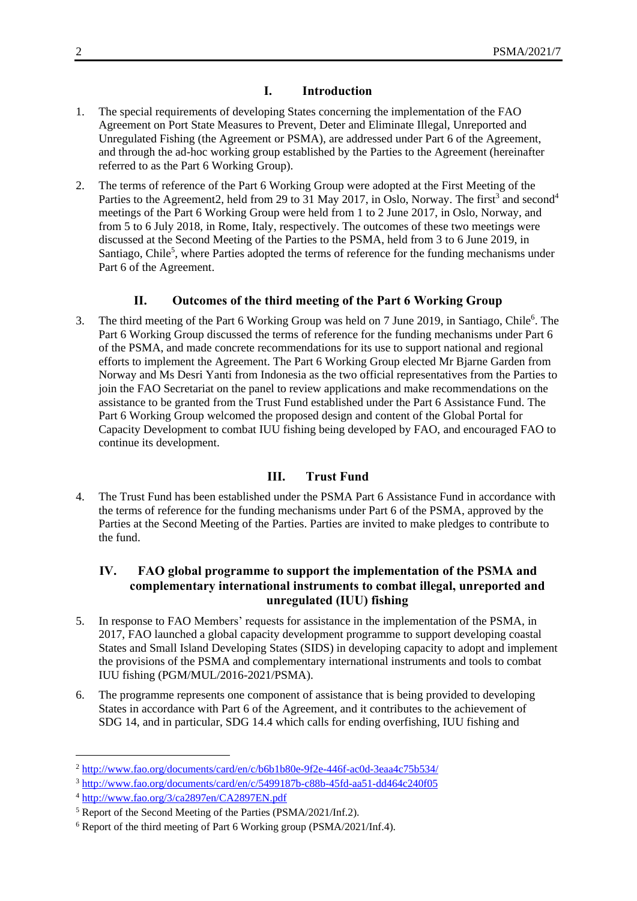#### **I. Introduction**

- 1. The special requirements of developing States concerning the implementation of the FAO Agreement on Port State Measures to Prevent, Deter and Eliminate Illegal, Unreported and Unregulated Fishing (the Agreement or PSMA), are addressed under Part 6 of the Agreement, and through the ad-hoc working group established by the Parties to the Agreement (hereinafter referred to as the Part 6 Working Group).
- 2. The terms of reference of the Part 6 Working Group were adopted at the First Meeting of the Parties to the Agreement2, held from 29 to 31 May 2017, in Oslo, Norway. The first<sup>3</sup> and second<sup>4</sup> meetings of the Part 6 Working Group were held from 1 to 2 June 2017, in Oslo, Norway, and from 5 to 6 July 2018, in Rome, Italy, respectively. The outcomes of these two meetings were discussed at the Second Meeting of the Parties to the PSMA, held from 3 to 6 June 2019, in Santiago, Chile<sup>5</sup>, where Parties adopted the terms of reference for the funding mechanisms under Part 6 of the Agreement.

### **II. Outcomes of the third meeting of the Part 6 Working Group**

3. The third meeting of the Part 6 Working Group was held on 7 June 2019, in Santiago, Chile<sup>6</sup>. The Part 6 Working Group discussed the terms of reference for the funding mechanisms under Part 6 of the PSMA, and made concrete recommendations for its use to support national and regional efforts to implement the Agreement. The Part 6 Working Group elected Mr Bjarne Garden from Norway and Ms Desri Yanti from Indonesia as the two official representatives from the Parties to join the FAO Secretariat on the panel to review applications and make recommendations on the assistance to be granted from the Trust Fund established under the Part 6 Assistance Fund. The Part 6 Working Group welcomed the proposed design and content of the Global Portal for Capacity Development to combat IUU fishing being developed by FAO, and encouraged FAO to continue its development.

### **III. Trust Fund**

4. The Trust Fund has been established under the PSMA Part 6 Assistance Fund in accordance with the terms of reference for the funding mechanisms under Part 6 of the PSMA, approved by the Parties at the Second Meeting of the Parties. Parties are invited to make pledges to contribute to the fund.

### **IV. FAO global programme to support the implementation of the PSMA and complementary international instruments to combat illegal, unreported and unregulated (IUU) fishing**

- 5. In response to FAO Members' requests for assistance in the implementation of the PSMA, in 2017, FAO launched a global capacity development programme to support developing coastal States and Small Island Developing States (SIDS) in developing capacity to adopt and implement the provisions of the PSMA and complementary international instruments and tools to combat IUU fishing (PGM/MUL/2016-2021/PSMA).
- 6. The programme represents one component of assistance that is being provided to developing States in accordance with Part 6 of the Agreement, and it contributes to the achievement of SDG 14, and in particular, SDG 14.4 which calls for ending overfishing, IUU fishing and

-

<sup>2</sup> <http://www.fao.org/documents/card/en/c/b6b1b80e-9f2e-446f-ac0d-3eaa4c75b534/>

<sup>3</sup> <http://www.fao.org/documents/card/en/c/5499187b-c88b-45fd-aa51-dd464c240f05>

<sup>4</sup> <http://www.fao.org/3/ca2897en/CA2897EN.pdf>

<sup>5</sup> Report of the Second Meeting of the Parties (PSMA/2021/Inf.2).

<sup>6</sup> Report of the third meeting of Part 6 Working group (PSMA/2021/Inf.4).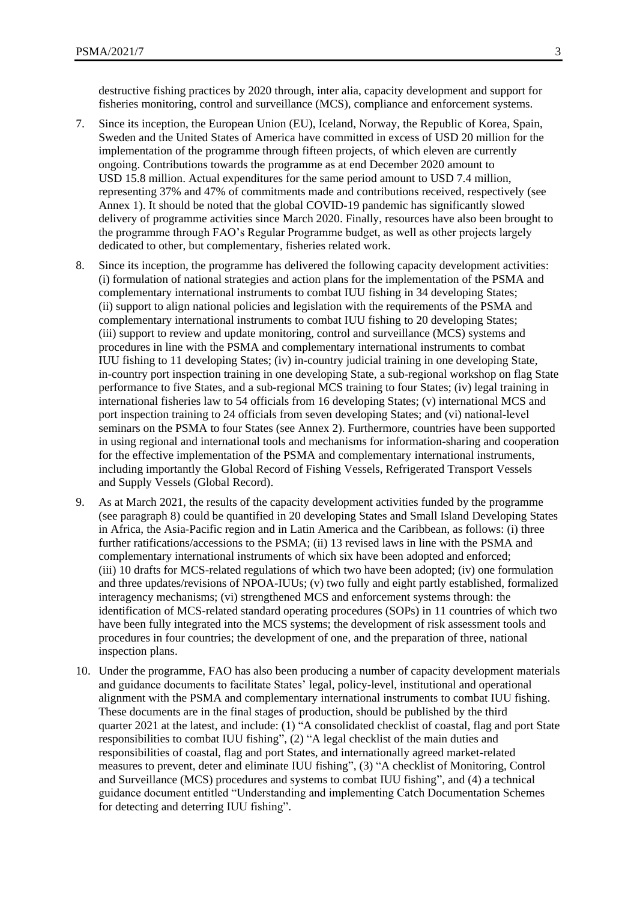- 7. Since its inception, the European Union (EU), Iceland, Norway, the Republic of Korea, Spain, Sweden and the United States of America have committed in excess of USD 20 million for the implementation of the programme through fifteen projects, of which eleven are currently ongoing. Contributions towards the programme as at end December 2020 amount to USD 15.8 million. Actual expenditures for the same period amount to USD 7.4 million, representing 37% and 47% of commitments made and contributions received, respectively (see Annex 1). It should be noted that the global COVID-19 pandemic has significantly slowed delivery of programme activities since March 2020. Finally, resources have also been brought to the programme through FAO's Regular Programme budget, as well as other projects largely dedicated to other, but complementary, fisheries related work.
- 8. Since its inception, the programme has delivered the following capacity development activities: (i) formulation of national strategies and action plans for the implementation of the PSMA and complementary international instruments to combat IUU fishing in 34 developing States; (ii) support to align national policies and legislation with the requirements of the PSMA and complementary international instruments to combat IUU fishing to 20 developing States; (iii) support to review and update monitoring, control and surveillance (MCS) systems and procedures in line with the PSMA and complementary international instruments to combat IUU fishing to 11 developing States; (iv) in-country judicial training in one developing State, in-country port inspection training in one developing State, a sub-regional workshop on flag State performance to five States, and a sub-regional MCS training to four States; (iv) legal training in international fisheries law to 54 officials from 16 developing States; (v) international MCS and port inspection training to 24 officials from seven developing States; and (vi) national-level seminars on the PSMA to four States (see Annex 2). Furthermore, countries have been supported in using regional and international tools and mechanisms for information-sharing and cooperation for the effective implementation of the PSMA and complementary international instruments, including importantly the Global Record of Fishing Vessels, Refrigerated Transport Vessels and Supply Vessels (Global Record).
- 9. As at March 2021, the results of the capacity development activities funded by the programme (see paragraph 8) could be quantified in 20 developing States and Small Island Developing States in Africa, the Asia-Pacific region and in Latin America and the Caribbean, as follows: (i) three further ratifications/accessions to the PSMA; (ii) 13 revised laws in line with the PSMA and complementary international instruments of which six have been adopted and enforced; (iii) 10 drafts for MCS-related regulations of which two have been adopted; (iv) one formulation and three updates/revisions of NPOA-IUUs; (v) two fully and eight partly established, formalized interagency mechanisms; (vi) strengthened MCS and enforcement systems through: the identification of MCS-related standard operating procedures (SOPs) in 11 countries of which two have been fully integrated into the MCS systems; the development of risk assessment tools and procedures in four countries; the development of one, and the preparation of three, national inspection plans.
- 10. Under the programme, FAO has also been producing a number of capacity development materials and guidance documents to facilitate States' legal, policy-level, institutional and operational alignment with the PSMA and complementary international instruments to combat IUU fishing. These documents are in the final stages of production, should be published by the third quarter 2021 at the latest, and include: (1) "A consolidated checklist of coastal, flag and port State responsibilities to combat IUU fishing", (2) "A legal checklist of the main duties and responsibilities of coastal, flag and port States, and internationally agreed market-related measures to prevent, deter and eliminate IUU fishing", (3) "A checklist of Monitoring, Control and Surveillance (MCS) procedures and systems to combat IUU fishing", and (4) a technical guidance document entitled "Understanding and implementing Catch Documentation Schemes for detecting and deterring IUU fishing".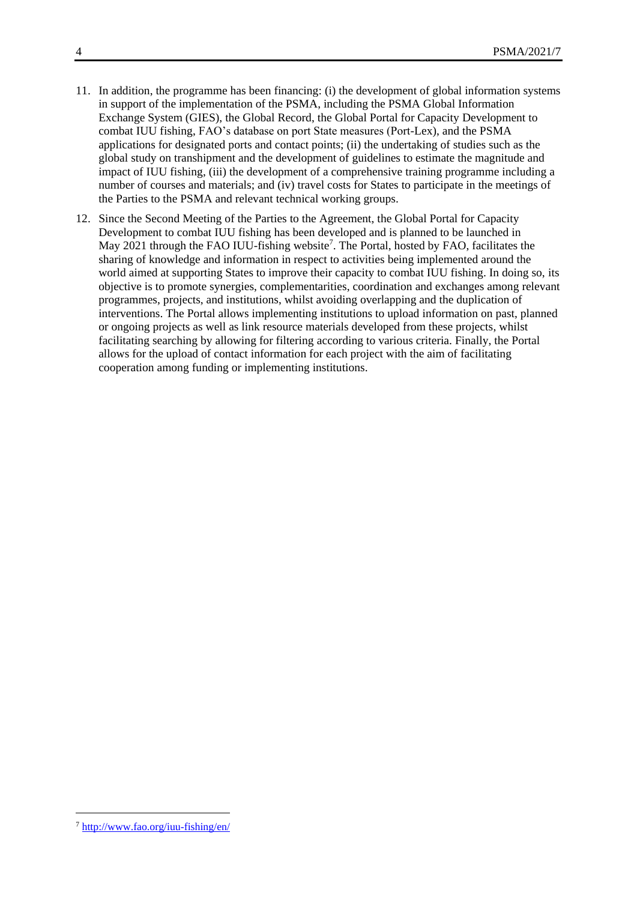- 11. In addition, the programme has been financing: (i) the development of global information systems in support of the implementation of the PSMA, including the PSMA Global Information Exchange System (GIES), the Global Record, the Global Portal for Capacity Development to combat IUU fishing, FAO's database on port State measures (Port-Lex), and the PSMA applications for designated ports and contact points; (ii) the undertaking of studies such as the global study on transhipment and the development of guidelines to estimate the magnitude and impact of IUU fishing, (iii) the development of a comprehensive training programme including a number of courses and materials; and (iv) travel costs for States to participate in the meetings of the Parties to the PSMA and relevant technical working groups.
- 12. Since the Second Meeting of the Parties to the Agreement, the Global Portal for Capacity Development to combat IUU fishing has been developed and is planned to be launched in May 2021 through the FAO IUU-fishing website<sup>7</sup>. The Portal, hosted by FAO, facilitates the sharing of knowledge and information in respect to activities being implemented around the world aimed at supporting States to improve their capacity to combat IUU fishing. In doing so, its objective is to promote synergies, complementarities, coordination and exchanges among relevant programmes, projects, and institutions, whilst avoiding overlapping and the duplication of interventions. The Portal allows implementing institutions to upload information on past, planned or ongoing projects as well as link resource materials developed from these projects, whilst facilitating searching by allowing for filtering according to various criteria. Finally, the Portal allows for the upload of contact information for each project with the aim of facilitating cooperation among funding or implementing institutions.

-

<sup>7</sup> <http://www.fao.org/iuu-fishing/en/>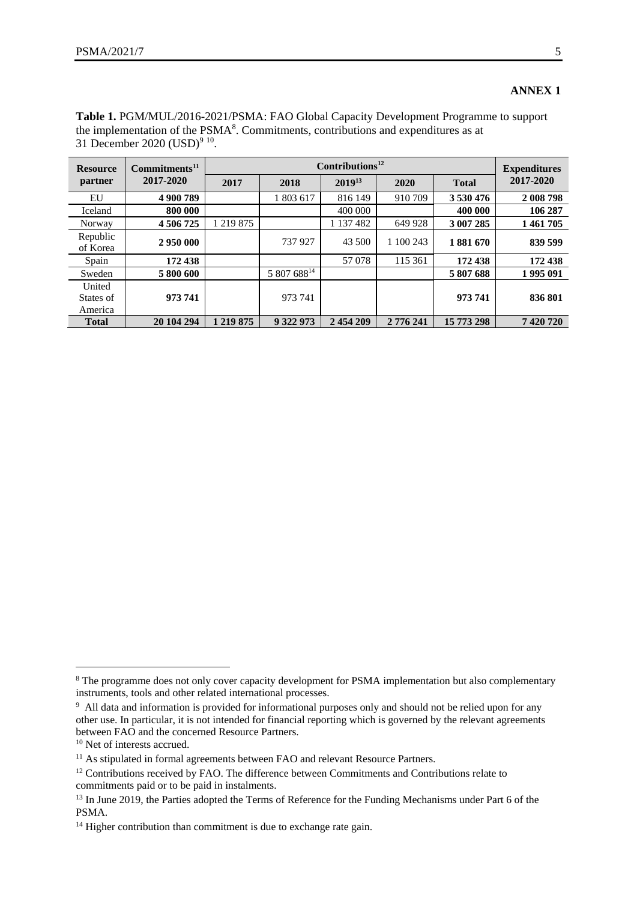#### **ANNEX 1**

| <b>Resource</b>                | Commitments <sup>11</sup><br>2017-2020 |               | <b>Expenditures</b> |                    |           |              |           |
|--------------------------------|----------------------------------------|---------------|---------------------|--------------------|-----------|--------------|-----------|
| partner                        |                                        | 2017          | 2018                | 2019 <sup>13</sup> | 2020      | <b>Total</b> | 2017-2020 |
| EU                             | 4 900 789                              |               | 1 803 617           | 816 149            | 910 709   | 3 530 476    | 2 008 798 |
| Iceland                        | 800 000                                |               |                     | 400 000            |           | 400 000      | 106 287   |
| Norway                         | 4 506 725                              | 1 219 875     |                     | 1 137 482          | 649 928   | 3 007 285    | 1461705   |
| Republic<br>of Korea           | 2 950 000                              |               | 737 927             | 43 500             | 1 100 243 | 1881670      | 839 599   |
| Spain                          | 172 438                                |               |                     | 57078              | 115 361   | 172 438      | 172 438   |
| Sweden                         | 5 800 600                              |               | 5 807 68814         |                    |           | 5 807 688    | 1995 091  |
| United<br>States of<br>America | 973 741                                |               | 973 741             |                    |           | 973741       | 836 801   |
| <b>Total</b>                   | 20 104 294                             | 1 2 1 9 8 7 5 | 9 322 973           | 2 454 209          | 2 776 241 | 15 773 298   | 7 420 720 |

**Table 1.** PGM/MUL/2016-2021/PSMA: FAO Global Capacity Development Programme to support the implementation of the  $PSMA<sup>8</sup>$ . Commitments, contributions and expenditures as at 31 December 2020 (USD)<sup>9 10</sup>.

-

<sup>&</sup>lt;sup>8</sup> The programme does not only cover capacity development for PSMA implementation but also complementary instruments, tools and other related international processes.

<sup>&</sup>lt;sup>9</sup> All data and information is provided for informational purposes only and should not be relied upon for any other use. In particular, it is not intended for financial reporting which is governed by the relevant agreements between FAO and the concerned Resource Partners.

<sup>&</sup>lt;sup>10</sup> Net of interests accrued.

<sup>&</sup>lt;sup>11</sup> As stipulated in formal agreements between FAO and relevant Resource Partners.

<sup>&</sup>lt;sup>12</sup> Contributions received by FAO. The difference between Commitments and Contributions relate to commitments paid or to be paid in instalments.

<sup>&</sup>lt;sup>13</sup> In June 2019, the Parties adopted the Terms of Reference for the Funding Mechanisms under Part 6 of the PSMA.

<sup>&</sup>lt;sup>14</sup> Higher contribution than commitment is due to exchange rate gain.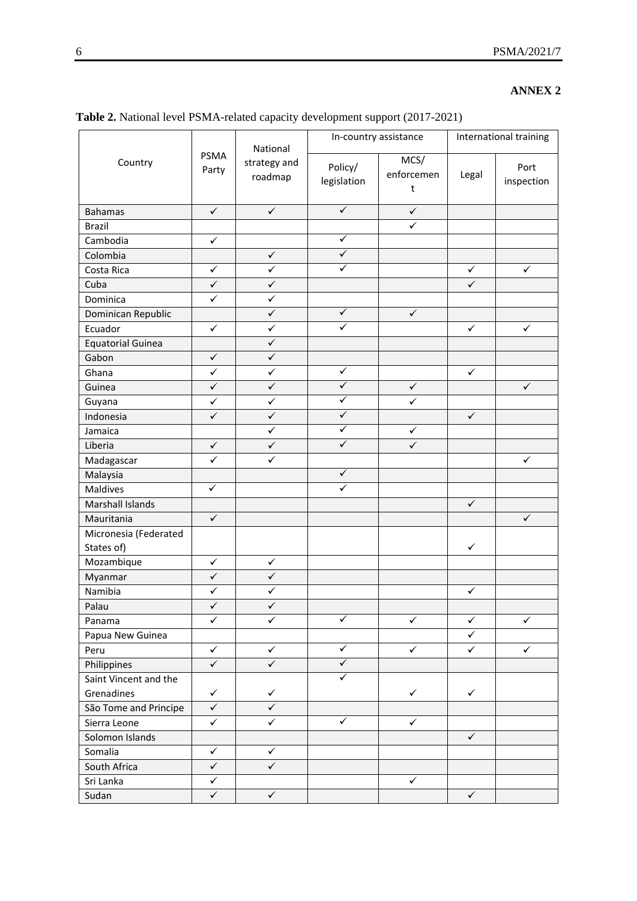## **ANNEX 2**

|                                     | <b>PSMA</b><br>Party    | National<br>strategy and<br>roadmap | In-country assistance   |                         | International training |                    |
|-------------------------------------|-------------------------|-------------------------------------|-------------------------|-------------------------|------------------------|--------------------|
| Country                             |                         |                                     | Policy/<br>legislation  | MCS/<br>enforcemen<br>t | Legal                  | Port<br>inspection |
| <b>Bahamas</b>                      | $\checkmark$            | $\checkmark$                        | $\overline{\checkmark}$ | $\checkmark$            |                        |                    |
| <b>Brazil</b>                       |                         |                                     |                         | $\overline{\checkmark}$ |                        |                    |
| Cambodia                            | $\checkmark$            |                                     | $\checkmark$            |                         |                        |                    |
| Colombia                            |                         | $\checkmark$                        | $\checkmark$            |                         |                        |                    |
| Costa Rica                          | $\checkmark$            | $\checkmark$                        | $\checkmark$            |                         | $\checkmark$           | $\checkmark$       |
| Cuba                                | $\overline{\checkmark}$ | $\checkmark$                        |                         |                         | $\checkmark$           |                    |
| Dominica                            | $\checkmark$            | $\checkmark$                        |                         |                         |                        |                    |
| Dominican Republic                  |                         | $\checkmark$                        | $\checkmark$            | $\checkmark$            |                        |                    |
| Ecuador                             | $\checkmark$            | $\checkmark$                        | $\checkmark$            |                         | $\checkmark$           | $\checkmark$       |
| <b>Equatorial Guinea</b>            |                         | $\checkmark$                        |                         |                         |                        |                    |
| Gabon                               | $\checkmark$            | $\checkmark$                        |                         |                         |                        |                    |
| Ghana                               | $\checkmark$            | $\checkmark$                        | $\checkmark$            |                         | $\checkmark$           |                    |
| Guinea                              | $\checkmark$            | $\checkmark$                        | $\checkmark$            | $\checkmark$            |                        | $\checkmark$       |
| Guyana                              | $\checkmark$            | $\checkmark$                        | $\checkmark$            | $\checkmark$            |                        |                    |
| Indonesia                           | $\checkmark$            | $\checkmark$                        | $\checkmark$            |                         | $\checkmark$           |                    |
| Jamaica                             |                         | $\checkmark$                        | $\checkmark$            | $\checkmark$            |                        |                    |
| Liberia                             | $\checkmark$            | $\checkmark$                        | $\checkmark$            | $\checkmark$            |                        |                    |
| Madagascar                          | $\checkmark$            | ✓                                   |                         |                         |                        | $\checkmark$       |
| Malaysia                            |                         |                                     | $\overline{\checkmark}$ |                         |                        |                    |
| Maldives                            | $\checkmark$            |                                     | $\checkmark$            |                         |                        |                    |
| Marshall Islands                    |                         |                                     |                         |                         | $\checkmark$           |                    |
| Mauritania                          | $\checkmark$            |                                     |                         |                         |                        | $\checkmark$       |
| Micronesia (Federated<br>States of) |                         |                                     |                         |                         | $\checkmark$           |                    |
| Mozambique                          | $\checkmark$            | $\checkmark$                        |                         |                         |                        |                    |
| Myanmar                             | $\checkmark$            | $\checkmark$                        |                         |                         |                        |                    |
| Namibia                             | $\checkmark$            | $\checkmark$                        |                         |                         | $\checkmark$           |                    |
| Palau                               | $\checkmark$            | $\checkmark$                        |                         |                         |                        |                    |
| Panama                              | $\checkmark$            | $\checkmark$                        | $\checkmark$            | ✓                       | $\checkmark$           | $\checkmark$       |
| Papua New Guinea                    |                         |                                     |                         |                         | $\checkmark$           |                    |
| Peru                                | $\checkmark$            | $\checkmark$                        | ✓                       | $\checkmark$            | $\checkmark$           | $\checkmark$       |
| Philippines                         | $\checkmark$            | $\checkmark$                        | $\checkmark$            |                         |                        |                    |
| Saint Vincent and the               |                         |                                     | ✓                       |                         |                        |                    |
| Grenadines                          | $\checkmark$            | $\checkmark$                        |                         | $\checkmark$            | $\checkmark$           |                    |
| São Tome and Principe               | $\checkmark$            | ✓                                   |                         |                         |                        |                    |
| Sierra Leone                        | $\checkmark$            | $\checkmark$                        | ✓                       | ✓                       |                        |                    |
| Solomon Islands                     |                         |                                     |                         |                         | $\checkmark$           |                    |
| Somalia                             | $\checkmark$            | $\checkmark$                        |                         |                         |                        |                    |
| South Africa                        | $\checkmark$            | $\checkmark$                        |                         |                         |                        |                    |
| Sri Lanka                           | $\checkmark$            |                                     |                         | $\checkmark$            |                        |                    |
| Sudan                               | $\checkmark$            | $\checkmark$                        |                         |                         | $\checkmark$           |                    |

**Table 2.** National level PSMA-related capacity development support (2017-2021)